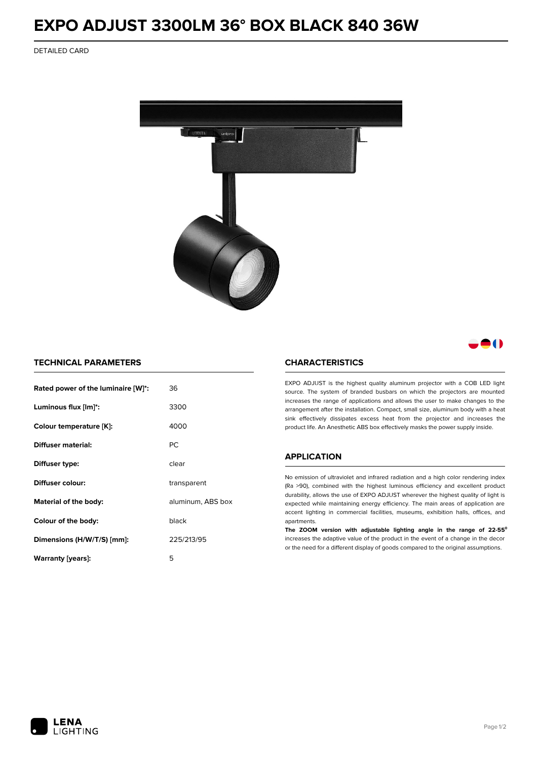# **EXPO ADJUST 3300LM 36° BOX BLACK 840 36W**

DETAILED CARD



# 80

## **TECHNICAL PARAMETERS**

| Rated power of the luminaire [W]*:         | 36          |  |
|--------------------------------------------|-------------|--|
| Luminous flux [lm]*:                       | 3300        |  |
| Colour temperature [K]:                    | 4000        |  |
| Diffuser material:                         | РC          |  |
| Diffuser type:                             | clear       |  |
| Diffuser colour:                           | transparent |  |
| aluminum, ABS box<br>Material of the body: |             |  |
| Colour of the body:                        | black       |  |
| Dimensions (H/W/T/S) [mm]:                 | 225/213/95  |  |
| Warranty [years]:                          | 5           |  |

#### **CHARACTERISTICS**

EXPO ADJUST is the highest quality aluminum projector with a COB LED light source. The system of branded busbars on which the projectors are mounted increases the range of applications and allows the user to make changes to the arrangement after the installation. Compact, small size, aluminum body with a heat sink effectively dissipates excess heat from the projector and increases the product life. An Anesthetic ABS box effectively masks the power supply inside.

### **APPLICATION**

No emission of ultraviolet and infrared radiation and a high color rendering index (Ra >90), combined with the highest luminous efficiency and excellent product durability, allows the use of EXPO ADJUST wherever the highest quality of light is expected while maintaining energy efficiency. The main areas of application are accent lighting in commercial facilities, museums, exhibition halls, offices, and apartments.

**The ZOOM version with adjustable lighting angle in the range of 22-55⁰** increases the adaptive value of the product in the event of a change in the decor or the need for a different display of goods compared to the original assumptions.